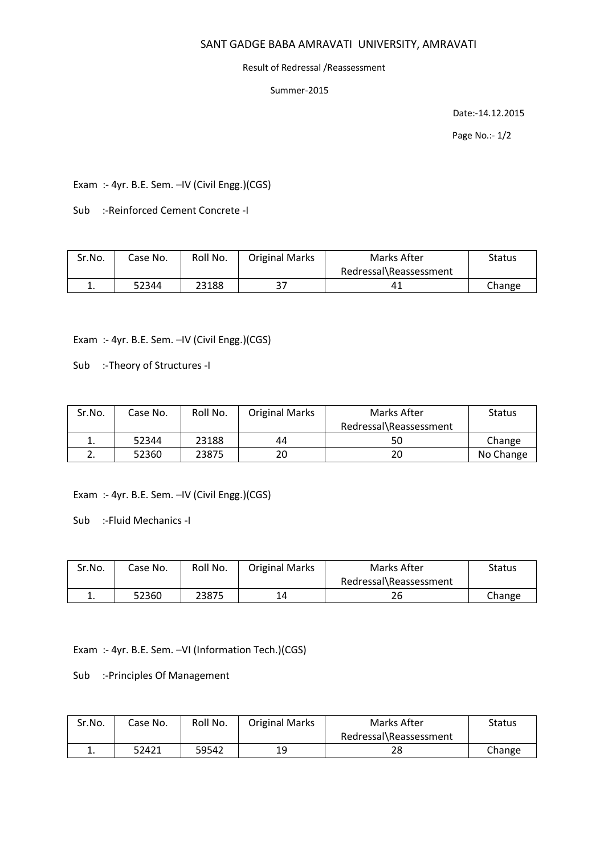# SANT GADGE BABA AMRAVATI UNIVERSITY, AMRAVATI

#### Result of Redressal /Reassessment

Summer-2015

Date:-14.12.2015

Page No.:- 1/2

Exam :- 4yr. B.E. Sem. –IV (Civil Engg.)(CGS)

Sub :-Reinforced Cement Concrete -I

| Sr.No.        | Case No. | Roll No. | <b>Original Marks</b> | Marks After            | Status |
|---------------|----------|----------|-----------------------|------------------------|--------|
|               |          |          |                       | Redressal\Reassessment |        |
| <u>. на с</u> | 52344    | 23188    | っっ                    | 41                     | Change |

Exam :- 4yr. B.E. Sem. –IV (Civil Engg.)(CGS)

Sub :-Theory of Structures -I

| Sr.No.   | Case No. | Roll No. | <b>Original Marks</b> | Marks After            | <b>Status</b> |
|----------|----------|----------|-----------------------|------------------------|---------------|
|          |          |          |                       | Redressal\Reassessment |               |
| ᆠ.       | 52344    | 23188    | 44                    | 50                     | Change        |
| <u>.</u> | 52360    | 23875    | 20                    | 20                     | No Change     |

Exam :- 4yr. B.E. Sem. –IV (Civil Engg.)(CGS)

Sub :-Fluid Mechanics -I

| Sr.No. | Case No. | Roll No. | <b>Original Marks</b> | Marks After            | Status |
|--------|----------|----------|-----------------------|------------------------|--------|
|        |          |          |                       | Redressal\Reassessment |        |
|        | 52360    | 23875    | 14                    | 26                     | Change |

Exam :- 4yr. B.E. Sem. –VI (Information Tech.)(CGS)

Sub :-Principles Of Management

| Sr.No. | Case No. | Roll No. | <b>Original Marks</b> | Marks After            | Status |
|--------|----------|----------|-----------------------|------------------------|--------|
|        |          |          |                       | Redressal\Reassessment |        |
| ᅩ.     | 52421    | 59542    | 19                    | 28                     | Change |